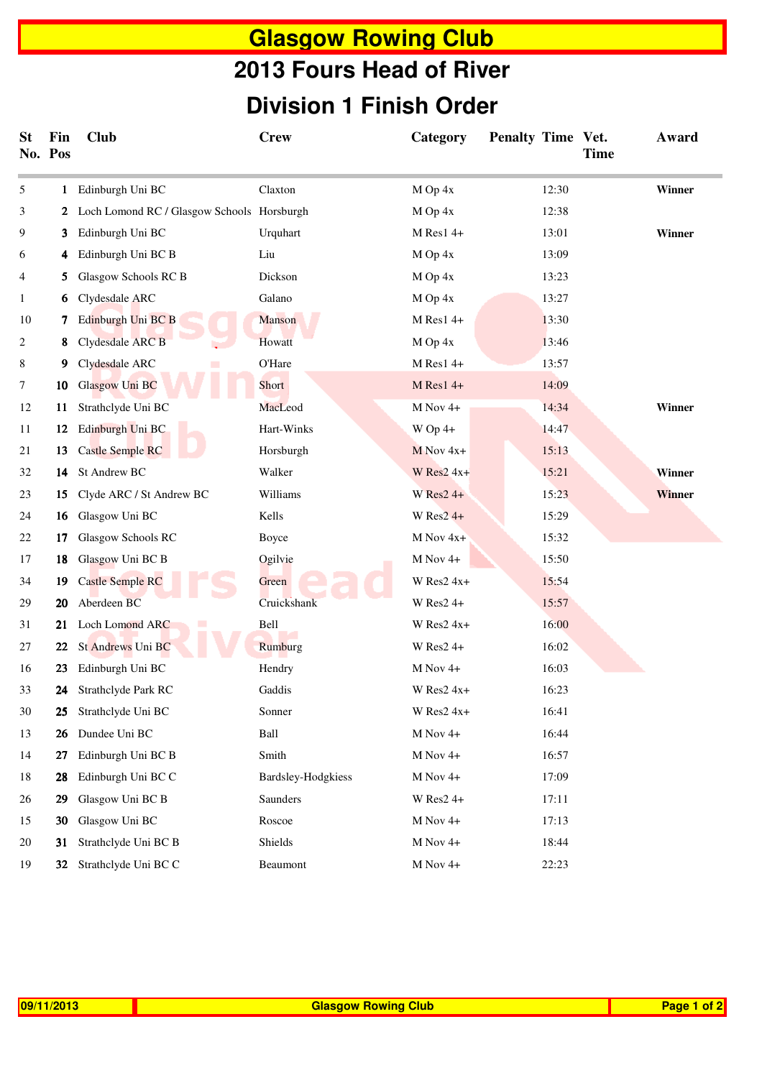## **Glasgow Rowing Club Division 1 Finish Order 2013 Fours Head of River**

| <b>St</b>    | Fin<br>No. Pos | <b>Club</b>                                  | <b>Crew</b>        | Category      | Penalty Time Vet. | Time | Award  |
|--------------|----------------|----------------------------------------------|--------------------|---------------|-------------------|------|--------|
| 5            |                | 1 Edinburgh Uni BC                           | Claxton            | M Op 4x       | 12:30             |      | Winner |
| 3            |                | 2 Loch Lomond RC / Glasgow Schools Horsburgh |                    | M Op 4x       | 12:38             |      |        |
| 9            | 3              | Edinburgh Uni BC                             | Urquhart           | $M$ Res1 4+   | 13:01             |      | Winner |
| 6            | 4              | Edinburgh Uni BC B                           | Liu                | M Op 4x       | 13:09             |      |        |
| 4            | 5              | Glasgow Schools RC B                         | Dickson            | $M$ Op 4x     | 13:23             |      |        |
| $\mathbf{1}$ | 6              | Clydesdale ARC                               | Galano             | M Op 4x       | 13:27             |      |        |
| 10           | 7              | Edinburgh Uni BC B                           | Manson             | $M$ Res1 4+   | 13:30             |      |        |
| 2            | 8              | Clydesdale ARC B                             | Howatt             | M Op 4x       | 13:46             |      |        |
| 8            | 9              | Clydesdale ARC                               | O'Hare             | $M$ Res1 4+   | 13:57             |      |        |
| 7            | 10             | Glasgow Uni BC                               | Short              | $M$ Res1 4+   | 14:09             |      |        |
| 12           | 11             | Strathclyde Uni BC                           | MacLeod            | M Nov 4+      | 14:34             |      | Winner |
| 11           | 12             | Edinburgh Uni BC                             | Hart-Winks         | $W$ Op 4+     | 14:47             |      |        |
| 21           | 13             | <b>Castle Semple RC</b>                      | Horsburgh          | $M$ Nov 4x+   | 15:13             |      |        |
| 32           | 14             | St Andrew BC                                 | Walker             | W Res $2$ 4x+ | 15:21             |      | Winner |
| 23           | 15             | Clyde ARC / St Andrew BC                     | Williams           | $W$ Res2 4+   | 15:23             |      | Winner |
| 24           | 16             | Glasgow Uni BC                               | Kells              | W Res $2$ 4+  | 15:29             |      |        |
| 22           | 17             | Glasgow Schools RC                           | Boyce              | M Nov 4x+     | 15:32             |      |        |
| 17           | 18             | Glasgow Uni BC B                             | Ogilvie            | $M$ Nov 4+    | 15:50             |      |        |
| 34           | 19             | <b>Castle Semple RC</b>                      | Green              | W Res $2$ 4x+ | 15:54             |      |        |
| 29           | 20             | Aberdeen BC                                  | Cruickshank        | W Res2 4+     | 15:57             |      |        |
| 31           | 21             | Loch Lomond ARC                              | Bell               | $W$ Res2 4x+  | 16:00             |      |        |
| 27           | 22             | St Andrews Uni BC                            | Rumburg            | $W$ Res2 4+   | 16:02             |      |        |
| 16           | 23             | Edinburgh Uni BC                             | Hendry             | $M$ Nov 4+    | 16:03             |      |        |
| 33           | 24             | Strathclyde Park RC                          | Gaddis             | W Res $2$ 4x+ | 16:23             |      |        |
| 30           | 25             | Strathclyde Uni BC                           | Sonner             | W Res2 4x+    | 16:41             |      |        |
| 13           | 26             | Dundee Uni BC                                | Ball               | M Nov 4+      | 16:44             |      |        |
| 14           | 27             | Edinburgh Uni BC B                           | Smith              | $M$ Nov 4+    | 16:57             |      |        |
| 18           | 28             | Edinburgh Uni BC C                           | Bardsley-Hodgkiess | M Nov 4+      | 17:09             |      |        |
| 26           | 29             | Glasgow Uni BC B                             | Saunders           | $W$ Res2 4+   | 17:11             |      |        |
| 15           | 30             | Glasgow Uni BC                               | Roscoe             | M Nov 4+      | 17:13             |      |        |
| 20           | 31             | Strathclyde Uni BC B                         | Shields            | M Nov 4+      | 18:44             |      |        |
| 19           |                | 32 Strathclyde Uni BC C                      | Beaumont           | $M$ Nov 4+    | 22:23             |      |        |